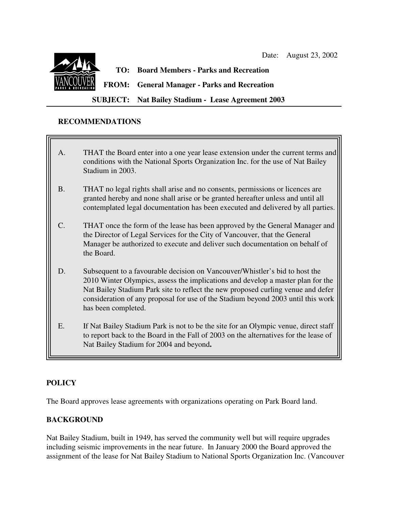

# **TO: Board Members - Parks and Recreation**

**FROM: General Manager - Parks and Recreation**

**SUBJECT: Nat Bailey Stadium - Lease Agreement 2003**

#### **RECOMMENDATIONS**

- A. THAT the Board enter into a one year lease extension under the current terms and conditions with the National Sports Organization Inc. for the use of Nat Bailey Stadium in 2003.
- B. THAT no legal rights shall arise and no consents, permissions or licences are granted hereby and none shall arise or be granted hereafter unless and until all contemplated legal documentation has been executed and delivered by all parties.
- C. THAT once the form of the lease has been approved by the General Manager and the Director of Legal Services for the City of Vancouver, that the General Manager be authorized to execute and deliver such documentation on behalf of the Board.
- D. Subsequent to a favourable decision on Vancouver/Whistler's bid to host the 2010 Winter Olympics, assess the implications and develop a master plan for the Nat Bailey Stadium Park site to reflect the new proposed curling venue and defer consideration of any proposal for use of the Stadium beyond 2003 until this work has been completed.
- E. If Nat Bailey Stadium Park is not to be the site for an Olympic venue, direct staff to report back to the Board in the Fall of 2003 on the alternatives for the lease of Nat Bailey Stadium for 2004 and beyond**.**

## **POLICY**

The Board approves lease agreements with organizations operating on Park Board land.

### **BACKGROUND**

Nat Bailey Stadium, built in 1949, has served the community well but will require upgrades including seismic improvements in the near future. In January 2000 the Board approved the assignment of the lease for Nat Bailey Stadium to National Sports Organization Inc. (Vancouver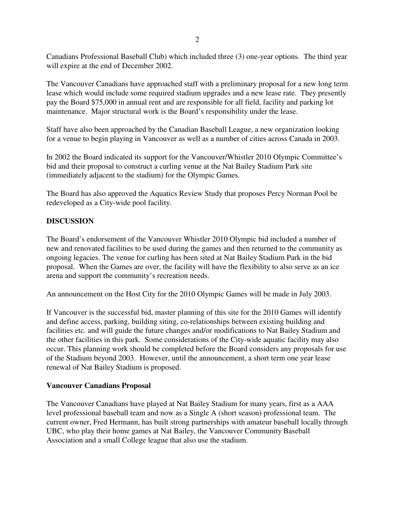Canadians Professional Baseball Club) which included three (3) one-year options. The third year will expire at the end of December 2002.

The Vancouver Canadians have approached staff with a preliminary proposal for a new long term lease which would include some required stadium upgrades and a new lease rate. They presently pay the Board \$75,000 in annual rent and are responsible for all field, facility and parking lot maintenance. Major structural work is the Board's responsibility under the lease.

Staff have also been approached by the Canadian Baseball League, a new organization looking for a venue to begin playing in Vancouver as well as a number of cities across Canada in 2003.

In 2002 the Board indicated its support for the Vancouver/Whistler 2010 Olympic Committee's bid and their proposal to construct a curling venue at the Nat Bailey Stadium Park site (immediately adjacent to the stadium) for the Olympic Games.

The Board has also approved the Aquatics Review Study that proposes Percy Norman Pool be redeveloped as a City-wide pool facility.

#### **DISCUSSION**

The Board's endorsement of the Vancouver Whistler 2010 Olympic bid included a number of new and renovated facilities to be used during the games and then returned to the community as ongoing legacies. The venue for curling has been sited at Nat Bailey Stadium Park in the bid proposal. When the Games are over, the facility will have the flexibility to also serve as an ice arena and support the community's recreation needs.

An announcement on the Host City for the 2010 Olympic Games will be made in July 2003.

If Vancouver is the successful bid, master planning of this site for the 2010 Games will identify and define access, parking, building siting, co-relationships between existing building and facilities etc. and will guide the future changes and/or modifications to Nat Bailey Stadium and the other facilities in this park. Some considerations of the City-wide aquatic facility may also occur. This planning work should be completed before the Board considers any proposals for use of the Stadium beyond 2003. However, until the announcement, a short term one year lease renewal of Nat Bailey Stadium is proposed.

#### **Vancouver Canadians Proposal**

The Vancouver Canadians have played at Nat Bailey Stadium for many years, first as a AAA level professional baseball team and now as a Single A (short season) professional team. The current owner, Fred Hermann, has built strong partnerships with amateur baseball locally through UBC, who play their home games at Nat Bailey, the Vancouver Community Baseball Association and a small College league that also use the stadium.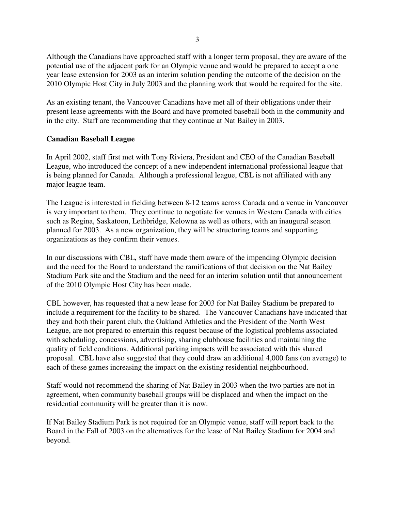Although the Canadians have approached staff with a longer term proposal, they are aware of the potential use of the adjacent park for an Olympic venue and would be prepared to accept a one year lease extension for 2003 as an interim solution pending the outcome of the decision on the 2010 Olympic Host City in July 2003 and the planning work that would be required for the site.

As an existing tenant, the Vancouver Canadians have met all of their obligations under their present lease agreements with the Board and have promoted baseball both in the community and in the city. Staff are recommending that they continue at Nat Bailey in 2003.

#### **Canadian Baseball League**

In April 2002, staff first met with Tony Riviera, President and CEO of the Canadian Baseball League, who introduced the concept of a new independent international professional league that is being planned for Canada. Although a professional league, CBL is not affiliated with any major league team.

The League is interested in fielding between 8-12 teams across Canada and a venue in Vancouver is very important to them. They continue to negotiate for venues in Western Canada with cities such as Regina, Saskatoon, Lethbridge, Kelowna as well as others, with an inaugural season planned for 2003. As a new organization, they will be structuring teams and supporting organizations as they confirm their venues.

In our discussions with CBL, staff have made them aware of the impending Olympic decision and the need for the Board to understand the ramifications of that decision on the Nat Bailey Stadium Park site and the Stadium and the need for an interim solution until that announcement of the 2010 Olympic Host City has been made.

CBL however, has requested that a new lease for 2003 for Nat Bailey Stadium be prepared to include a requirement for the facility to be shared. The Vancouver Canadians have indicated that they and both their parent club, the Oakland Athletics and the President of the North West League, are not prepared to entertain this request because of the logistical problems associated with scheduling, concessions, advertising, sharing clubhouse facilities and maintaining the quality of field conditions. Additional parking impacts will be associated with this shared proposal. CBL have also suggested that they could draw an additional 4,000 fans (on average) to each of these games increasing the impact on the existing residential neighbourhood.

Staff would not recommend the sharing of Nat Bailey in 2003 when the two parties are not in agreement, when community baseball groups will be displaced and when the impact on the residential community will be greater than it is now.

If Nat Bailey Stadium Park is not required for an Olympic venue, staff will report back to the Board in the Fall of 2003 on the alternatives for the lease of Nat Bailey Stadium for 2004 and beyond.